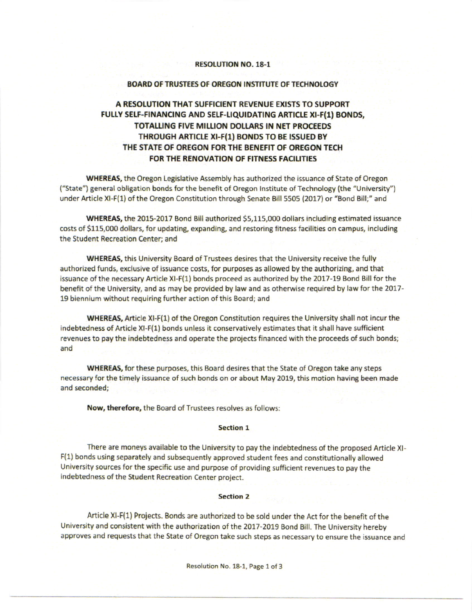# RESOLUTION NO. 18-1

# BOARD OF TRUSTEES OF OREGON INSTITUTE OF TECHNOLOGY

# A RESOLUTION THAT SUFFICIENT REVENUE EXISTS TO SUPPORT FULLY SELF-FINANCING AND SELF-LIQUIDATING ARTICLE XI-F(1) BONDS, TOTALLING FIVE MILLION DOLLARS IN NET PROCEEDS THROUGH ARTICLE XI-F(1) BONDS TO BE ISSUED BY THE STATE OF OREGON FOR THE BENEFIT OF OREGON TECH FOR THE RENOVATION OF FITNESS FACILITIES

WHEREAS, the Oregon Legislative Assembly has authorized the issuance of State of Oregon ("State") general obligation bonds for the benefit of Oregon lnstitute of Technology (the "Universiny'') under Article Xl-F(1) of the Oregon Constitution through Senate Bill 5505 (2017) or "Bond Bill;" and

WHEREAS, the 2015-2017 Bond Bill authorized S5,115,000 dollars including estimated issuance costs of \$115,000 dollars, for updating, expanding, and restoring fitness facilities on campus, including the Student Recreation Center; and

WHEREAS, this University Board of Trustees desires that the University receive the fully authorized funds, exclusive of issuance costs, for purposes as allowed by the authorizing, and that issuance of the necessary Article Xl-F(1) bonds proceed as authorized by the 2017-19 Bond Bill for the benefit of the University, and as may be provided by law and as otherwise required by law for the 2017- 19 biennium without requiring further action of this Board; and

WHEREAS, Article Xl-F(1) of the Oregon Constitution requires the University shall not incur the indebtedness of Article Xl-F(1) bonds unless it conservatively estimates that it shall have sufficient revenues to pay the indebtedness and operate the projects financed with the proceeds of such bonds; and

WHEREAS, for these purposes, this Board desires that the State of Oregon take any steps necessary for the timely issuance of such bonds on or about May 2019, this motion having been made and seconded;

Now, therefore, the Board of Trustees resolves as follows

#### Section 1

There are moneys available to the University to pay the indebtedness of the proposed Article Xl-F(1) bonds using separately and subsequently approved student fees and constitutionally allowed University sources for the specific use and purpose of providing sufficient revenues to pay the indebtedness of the Student Recreation Center project.

# Section 2

Article Xl-F(1) Projects. Bonds are authorized to be sold under the Act for the benefit of the university and consistent with the authorization of the 2017-2019 Bond Bill. The University hereby approves and requests that the State of Oregon take such steps as necessary to ensure the issuance and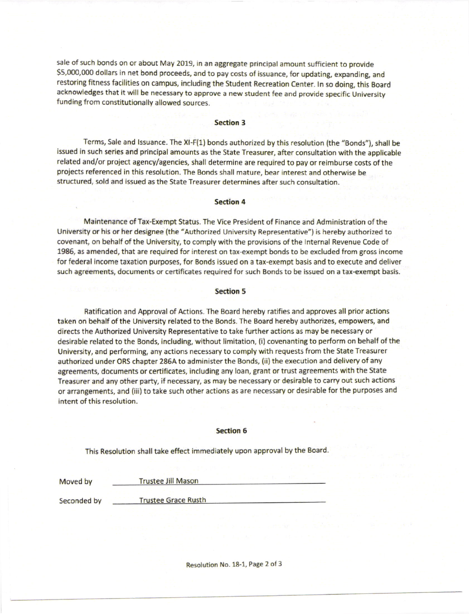sale of such bonds on or about May 2019, in an aggregate principal amount sufficient to provide \$5,000,000 dollars in net bond proceeds, and to pay costs of issuance, for updating, expanding, and restoring fitness facilities on campus, including the student Recreation center. ln so doing, this Board acknowledges that it will be necessary to approve a new student fee and provide specific University funding from constitutionally allowed sources.

# Section 3

Terms, Sale and Issuance. The XI-F(1) bonds authorized by this resolution (the "Bonds"), shall be issued in such series and principal amounts as the State Treasurer, after consultation with the applicable related and/or project agency/agencies, shall determine are required to pay or reimburse costs of the projects referenced in this resolution. The Bonds shall mature, bear interest and otherwise be structured, sold and issued as the State Treasurer determines after such consultation.

# Section 4

Maintenance ofTax-Exempt Status. The Vice President of Finance and Administration of the University or his or her designee (the "Authorized University Representative") is hereby authorized to covenant, on behalf of the University, to comply with the provisions of the lnternal Revenue Code of 1985, as amended, that are required for interest on tax exempt bonds to be excluded from gross income for federal income taxation purposes, for Bonds issued on a tax-exempt basis and to execute and deliver such agreements, documents or certificates required for such Bonds to be issued on a tax-exempt basis.

# Section 5

Ratification and Approval of Actions. The Board hereby ratifies and approves all prior actions taken on behalf of the University related to the Bonds. The Board hereby authorizes, empowers, and directs the Authorized University Representative to take further actions as may be necessary or desirable related to the Bonds, including, without limitation, (i) covenanting to perform on behalf of the University, and performing, any actions necessary to comply with requests from the State Treasurer authorized under ORS chapter 286A to administer the Bonds, (ii) the erecution and delivery of any agreements, documents or certificates, including any loan, grant or trust agreements with the State Treasurer and any other party, if necessary, as may be necessary or desirable to carry out such actions or arrangements, and (iii) to take such other actions as are necessary or desirable for the purposes and intent of this resolution.

#### Section 6

This Resolution shall take effect immediately upon approval by the Board.

| Moved by |  |  |  |  |
|----------|--|--|--|--|
|----------|--|--|--|--|

**Trustee Grace Rusth** 

Trustee Jill Mason

Seconded by

Resolution No. 18-1, Page 2 of 3